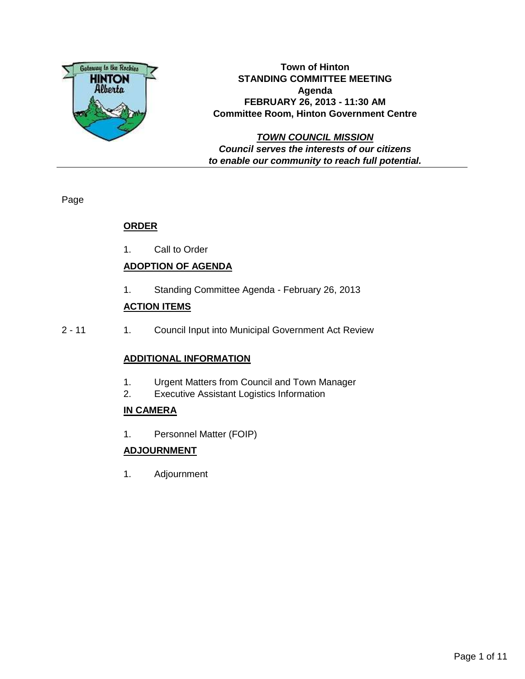

**Town of Hinton STANDING COMMITTEE MEETING Agenda FEBRUARY 26, 2013 - 11:30 AM Committee Room, Hinton Government Centre**

**TOWN COUNCIL MISSION Council serves the interests of our citizens to enable our community to reach full potential.**

Page

## **ORDER**

1. Call to Order

## **ADOPTION OF AGENDA**

1. Standing Committee Agenda - February 26, 2013

## **ACTION ITEMS**

2 - 11 1. Council Input into Municipal Government Act Review

## **ADDITIONAL INFORMATION**

- 1. Urgent Matters from Council and Town Manager
- 2. Executive Assistant Logistics Information

## **IN CAMERA**

1. Personnel Matter (FOIP)

## **ADJOURNMENT**

1. Adjournment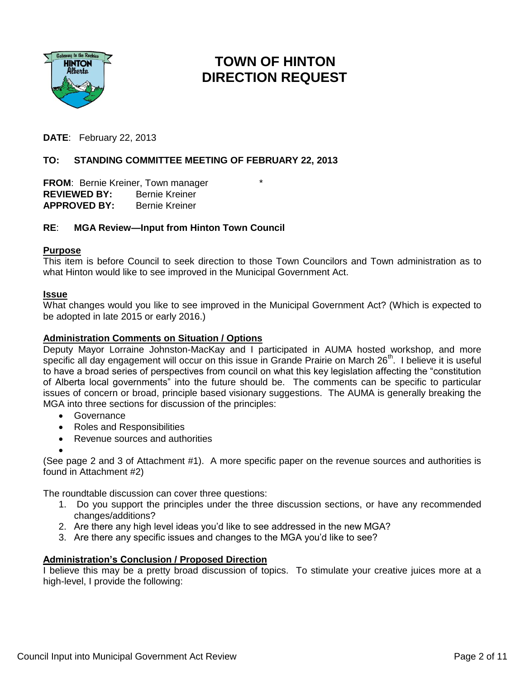

# **TOWN OF HINTON DIRECTION REQUEST**

**DATE**: February 22, 2013

### **TO: STANDING COMMITTEE MEETING OF FEBRUARY 22, 2013**

**FROM: Bernie Kreiner, Town manager REVIEWED BY:** Bernie Kreiner **APPROVED BY:** Bernie Kreiner

#### **RE**: **MGA Review—Input from Hinton Town Council**

#### **Purpose**

This item is before Council to seek direction to those Town Councilors and Town administration as to what Hinton would like to see improved in the Municipal Government Act.

#### **Issue**

What changes would you like to see improved in the Municipal Government Act? (Which is expected to be adopted in late 2015 or early 2016.)

#### **Administration Comments on Situation / Options**

Deputy Mayor Lorraine Johnston-MacKay and I participated in AUMA hosted workshop, and more specific all day engagement will occur on this issue in Grande Prairie on March 26<sup>th</sup>. I believe it is useful to have a broad series of perspectives from council on what this key legislation affecting the "constitution of Alberta local governments" into the future should be. The comments can be specific to particular issues of concern or broad, principle based visionary suggestions. The AUMA is generally breaking the MGA into three sections for discussion of the principles:

- Governance
- Roles and Responsibilities
- Revenue sources and authorities
- $\bullet$

(See page 2 and 3 of Attachment #1). A more specific paper on the revenue sources and authorities is found in Attachment #2)

The roundtable discussion can cover three questions:

- 1. Do you support the principles under the three discussion sections, or have any recommended changes/additions?
- 2. Are there any high level ideas you'd like to see addressed in the new MGA?
- 3. Are there any specific issues and changes to the MGA you'd like to see?

#### **Administration's Conclusion / Proposed Direction**

I believe this may be a pretty broad discussion of topics. To stimulate your creative juices more at a high-level, I provide the following: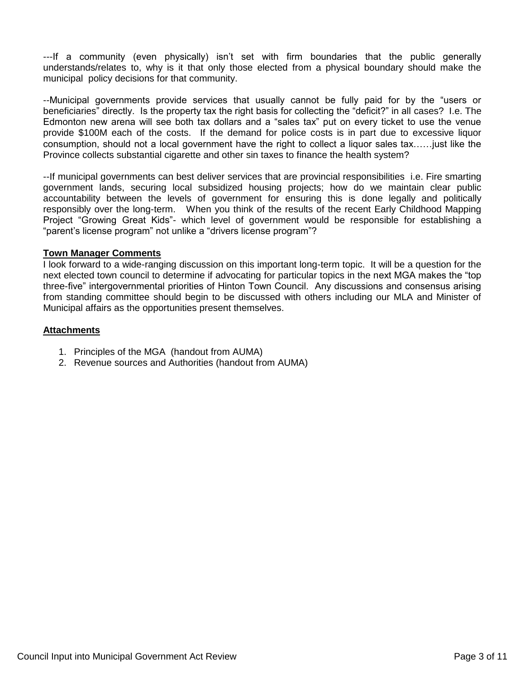---If a community (even physically) isn't set with firm boundaries that the public generally understands/relates to, why is it that only those elected from a physical boundary should make the municipal policy decisions for that community.

--Municipal governments provide services that usually cannot be fully paid for by the "users or beneficiaries" directly. Is the property tax the right basis for collecting the "deficit?" in all cases? I.e. The Edmonton new arena will see both tax dollars and a "sales tax" put on every ticket to use the venue provide \$100M each of the costs. If the demand for police costs is in part due to excessive liquor consumption, should not a local government have the right to collect a liquor sales tax……just like the Province collects substantial cigarette and other sin taxes to finance the health system?

--If municipal governments can best deliver services that are provincial responsibilities i.e. Fire smarting government lands, securing local subsidized housing projects; how do we maintain clear public accountability between the levels of government for ensuring this is done legally and politically responsibly over the long-term. When you think of the results of the recent Early Childhood Mapping Project "Growing Great Kids"- which level of government would be responsible for establishing a "parent's license program" not unlike a "drivers license program"?

#### **Town Manager Comments**

I look forward to a wide-ranging discussion on this important long-term topic. It will be a question for the next elected town council to determine if advocating for particular topics in the next MGA makes the "top three-five" intergovernmental priorities of Hinton Town Council. Any discussions and consensus arising from standing committee should begin to be discussed with others including our MLA and Minister of Municipal affairs as the opportunities present themselves.

#### **Attachments**

- 1. Principles of the MGA (handout from AUMA)
- 2. Revenue sources and Authorities (handout from AUMA)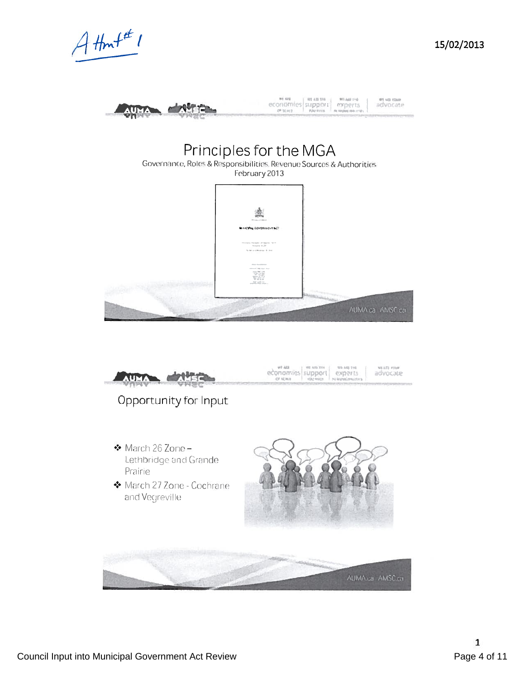





15/02/2013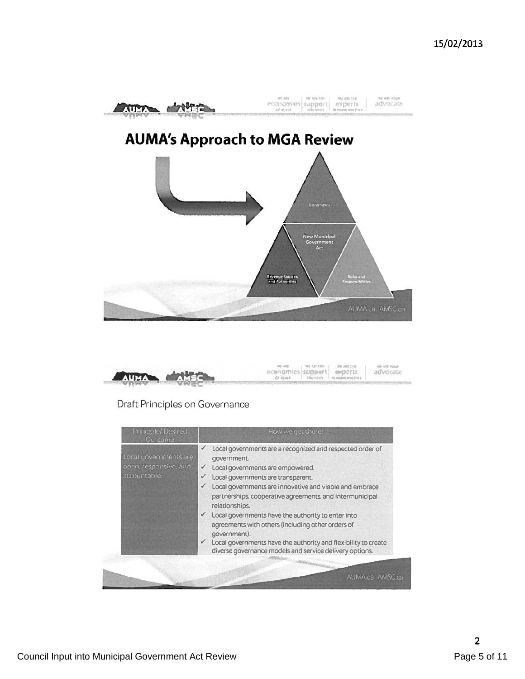



## Draft Principles on Governance

| Principle/ Desired<br><b>Outcome</b>                           | How we get there:                                                                                                                                                                                                                                                                                                                                                                                                                                                                                                                                                                             |  |  |
|----------------------------------------------------------------|-----------------------------------------------------------------------------------------------------------------------------------------------------------------------------------------------------------------------------------------------------------------------------------------------------------------------------------------------------------------------------------------------------------------------------------------------------------------------------------------------------------------------------------------------------------------------------------------------|--|--|
| Local governments are<br>open, responsive, and<br>accountable. | Local governments are a recognized and respected order of<br>government.<br>Local governments are empowered.<br>Local governments are transparent.<br>✓<br>Local governments are innovative and viable and embrace<br>$\checkmark$<br>partnerships, cooperative agreements, and intermunicipal<br>relationships.<br>Local governments have the authority to enter into<br>✓<br>agreements with others (including other orders of<br>government).<br>Local governments have the authority and flexibility to create<br>$\checkmark$<br>diverse governance models and service delivery options. |  |  |
|                                                                | AUMA.ca AMSC.ca                                                                                                                                                                                                                                                                                                                                                                                                                                                                                                                                                                               |  |  |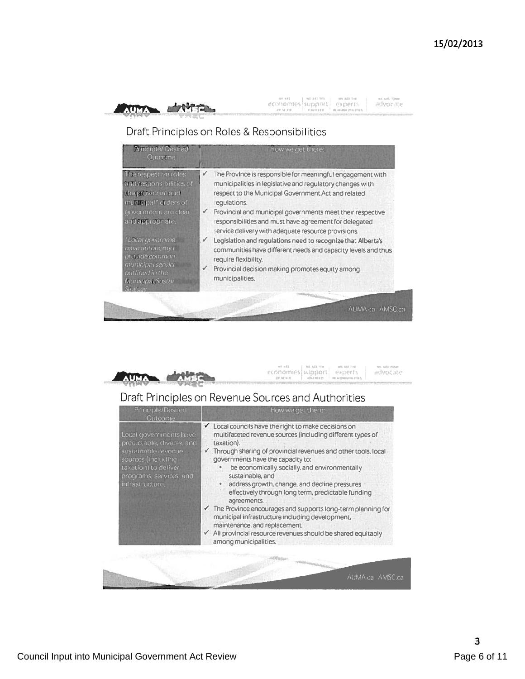

examples support experience

 $\left\|\mathop{\mathrm{POMom}}\limits_{\mathbf{u}\in\mathbb{N}}\right\|\leq\left\|\mathop{\mathrm{POMom}}\limits_{\mathbf{u}\in\mathbb{N}}\right\|\leq\left\|\mathop{\mathrm{POMom}}\limits_{\mathbf{u}\in\mathbb{N}}\right\|\leq\left\|\mathop{\mathrm{PDMom}}\limits_{\mathbf{u}\in\mathbb{N}}\right\|$ 

ies visitates<br>IBOVOCISTE

in va nur<br>indvocate

# Draft Principles on Roles & Responsibilities

| <b>Principle/Desired</b><br>Outcome:                                                                                                                                                                                                       | How we get there:                                                                                                                                                                                                                                                                                                                                                                                                                                                                                                                                                                                                                                  |  |
|--------------------------------------------------------------------------------------------------------------------------------------------------------------------------------------------------------------------------------------------|----------------------------------------------------------------------------------------------------------------------------------------------------------------------------------------------------------------------------------------------------------------------------------------------------------------------------------------------------------------------------------------------------------------------------------------------------------------------------------------------------------------------------------------------------------------------------------------------------------------------------------------------------|--|
| The respective roles<br>and responsibilities of<br>the provincial and<br>municipal* orders of<br>government are clear<br>and appropriate.<br>' Local governme<br>have autonomy t<br>pravide common<br>municipal service<br>outlined in the | he Province is responsible for meaningful engagement with<br>v<br>municipalities in legislative and regulatory changes with<br>respect to the Municipal Government Act and related<br>requlations.<br>$\checkmark$ Provincial and municipal governments meet their respective<br>esponsibilities and must have agreement for delegated<br>service delivery with adequate resource provisions.<br>Legislation and regulations need to recognize that Alberta's<br>$\checkmark$<br>communities have different needs and capacity levels and thus<br>require flexibility.<br>Provincial decision making promotes equity among<br>✓<br>municipalities. |  |
| Municipal Sustar<br>Strategy.                                                                                                                                                                                                              |                                                                                                                                                                                                                                                                                                                                                                                                                                                                                                                                                                                                                                                    |  |



# Draft Principles on Revenue Sources and Authorities

| Principle/Desired<br><b>Outcome</b>                                                                                                                                     | How we get there:                                                                                                                                                                                                                                                                                                                                                                                                                                                                                                                                                                                                                                                                          |  |  |
|-------------------------------------------------------------------------------------------------------------------------------------------------------------------------|--------------------------------------------------------------------------------------------------------------------------------------------------------------------------------------------------------------------------------------------------------------------------------------------------------------------------------------------------------------------------------------------------------------------------------------------------------------------------------------------------------------------------------------------------------------------------------------------------------------------------------------------------------------------------------------------|--|--|
| Local governments have<br>predictable, diverse, and<br>sustainable revenue.<br>sources (including<br>taxation) to deliver<br>programs, services, and<br>infrastructure. | Local councils have the right to make decisions on<br>multifaceted revenue sources (including different types of<br>taxation).<br>Through sharing of provincial revenues and other tools, local<br>governments have the capacity to:<br>be economically, socially, and environmentally<br>sustainable, and<br>address growth, change, and decline pressures<br>$\bullet$<br>effectively through long term, predictable funding<br>agreements.<br>The Province encourages and supports long-term planning for<br>municipal infrastructure including development,<br>maintenance, and replacement.<br>√ All provincial resource revenues should be shared equitably<br>among municipalities. |  |  |
|                                                                                                                                                                         |                                                                                                                                                                                                                                                                                                                                                                                                                                                                                                                                                                                                                                                                                            |  |  |
|                                                                                                                                                                         | AUMA.ca AMSC.ca                                                                                                                                                                                                                                                                                                                                                                                                                                                                                                                                                                                                                                                                            |  |  |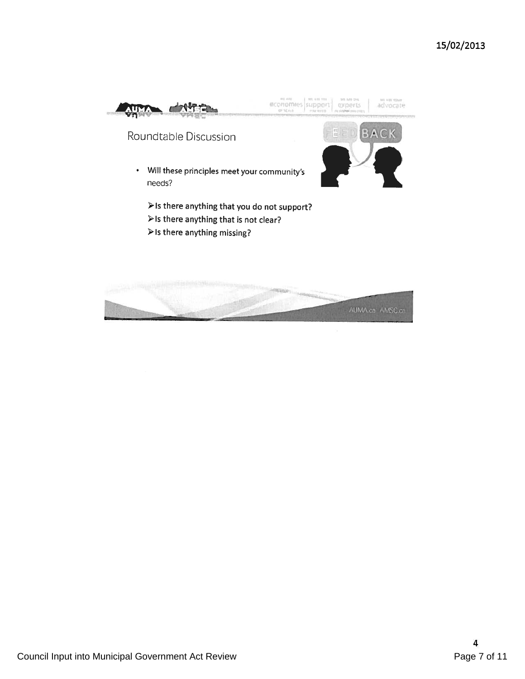

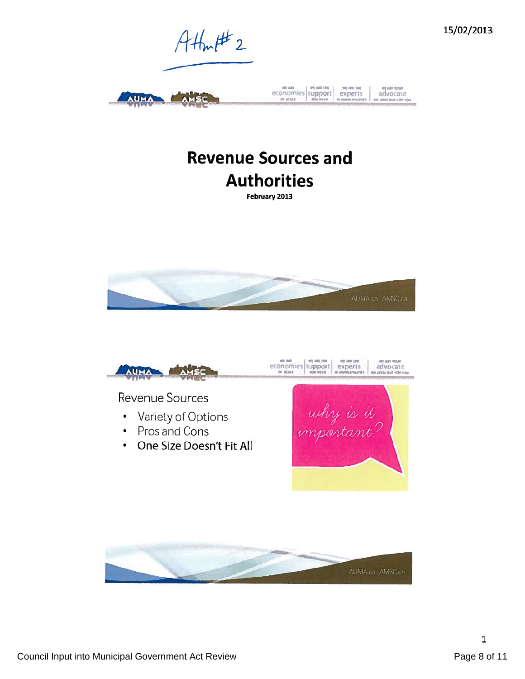

# **Revenue Sources and Authorities**

February 2013





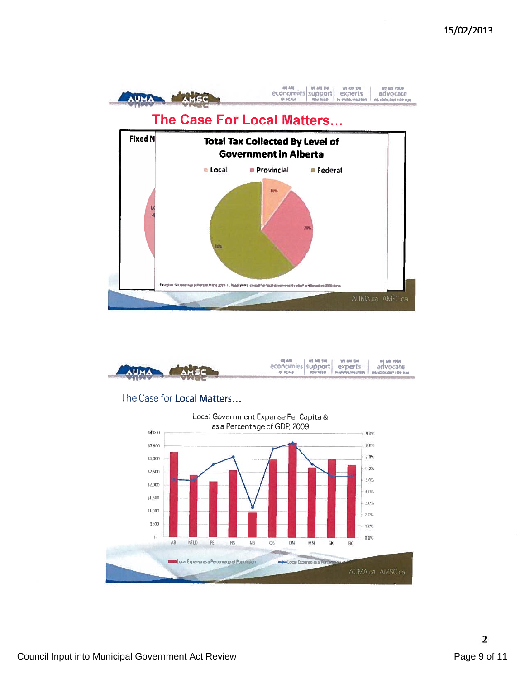



## The Case for Local Matters...

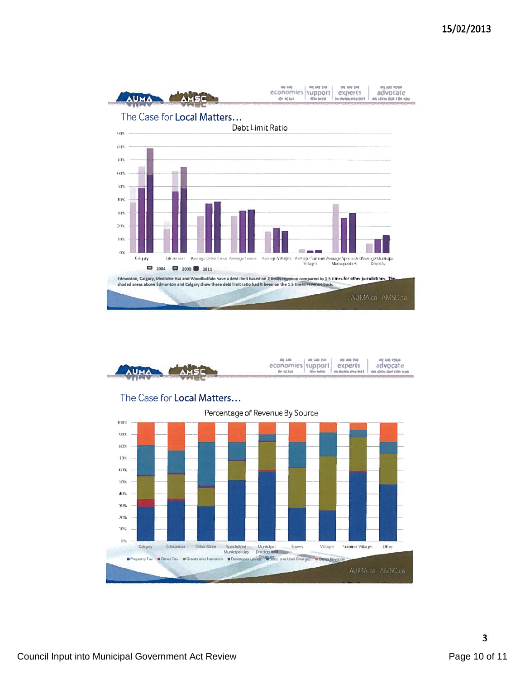

|                         | economies support experts | 1.93.00.00.1 | <b>THE ARE THE</b> | <b><i>WE ARE YOUR</i></b><br>advocate                     |
|-------------------------|---------------------------|--------------|--------------------|-----------------------------------------------------------|
| ANUMAL MARIE            | OF REALLY                 |              |                    | <b>ROH MEED PA WARRA PRAYERS F. WA SCROLIDER FOR YOU.</b> |
| <b>CONTRACTOR</b> WALLY |                           |              |                    |                                                           |